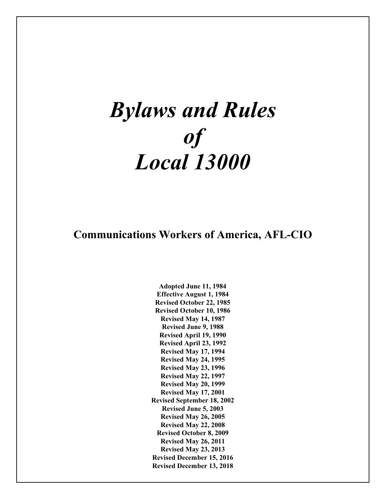# *Bylaws and Rules of Local 13000*

# **Communications Workers of America, AFL-CIO**

**Adopted June 11, 1984 Effective August 1, 1984 Revised October 22, 1985 Revised October 10, 1986 Revised May 14, 1987 Revised June 9, 1988 Revised April 19, 1990 Revised April 23, 1992 Revised May 17, 1994 Revised May 24, 1995 Revised May 23, 1996 Revised May 22, 1997 Revised May 20, 1999 Revised May 17, 2001 Revised September 18, 2002 Revised June 5, 2003 Revised May 26, 2005 Revised May 22, 2008 Revised October 8, 2009 Revised May 26, 2011 Revised May 23, 2013 Revised December 15, 2016 Revised December 13, 2018**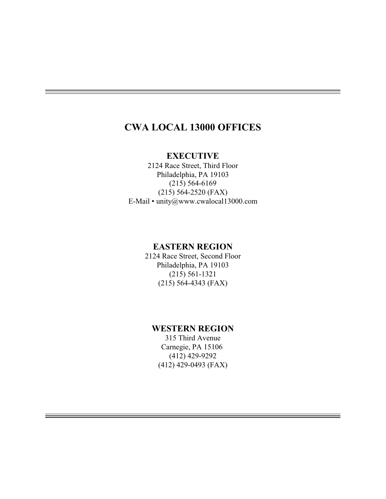# **CWA LOCAL 13000 OFFICES**

# **EXECUTIVE**

2124 Race Street, Third Floor Philadelphia, PA 19103 (215) 564-6169 (215) 564-2520 (FAX) E-Mail • unity@www.cwalocal13000.com

# **EASTERN REGION**

2124 Race Street, Second Floor Philadelphia, PA 19103 (215) 561-1321 (215) 564-4343 (FAX)

# **WESTERN REGION**

315 Third Avenue Carnegie, PA 15106 (412) 429-9292 (412) 429-0493 (FAX)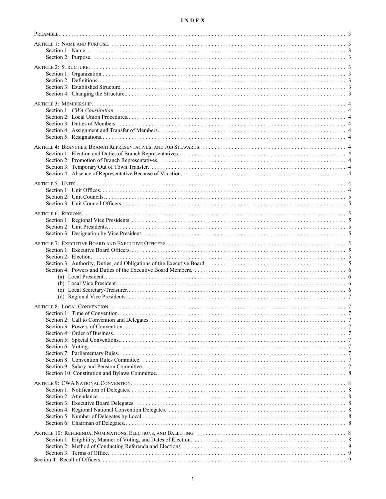# $\mathbf{I} \, \mathbf{N} \, \mathbf{D} \, \mathbf{E} \, \mathbf{X}$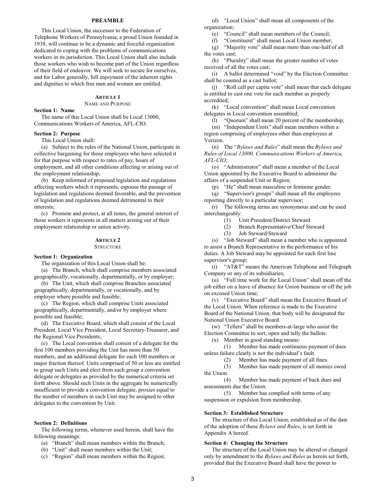# **PREAMBLE**

This Local Union, the successor to the Federation of Telephone Workers of Pennsylvania, a proud Union founded in 1938, will continue to be a dynamic and forceful organization dedicated to coping with the problems of communications workers in its jurisdiction. This Local Union shall also include those workers who wish to become part of the Union regardless of their field of endeavor. We will seek to secure for ourselves, and for Labor generally, full enjoyment of the inherent rights and dignities to which free men and women are entitled.

# **ARTICLE 1**

NAME AND PURPOSE

#### **Section 1: Name**

The name of this Local Union shall be Local 13000, Communications Workers of America, AFL-CIO.

#### **Section 2: Purpose**

This Local Union shall:

(a) Subject to the rules of the National Union, participate in collective bargaining for those employees who have selected it for that purpose with respect to rates of pay, hours of employment, and all other conditions affecting or arising out of the employment relationship;

(b) Keep informed of proposed legislation and regulations affecting workers which it represents, espouse the passage of legislation and regulations deemed favorable, and the prevention of legislation and regulations deemed detrimental to their interests;

(c) Promote and protect, at all times, the general interest of those workers it represents in all matters arising out of their employment relationship or union activity.

# **ARTICLE 2**

#### **STRUCTURE**

#### **Section 1: Organization**

The organization of this Local Union shall be:

(a) The Branch, which shall comprise members associated geographically, vocationally, departmentally, or by employer;

(b) The Unit, which shall comprise Branches associated geographically, departmentally, or vocationally, and by employer where possible and feasible;

(c) The Region, which shall comprise Units associated geographically, departmentally, and/or by employer where possible and feasible;

(d) The Executive Board, which shall consist of the Local President, Local Vice President, Local Secretary-Treasurer, and the Regional Vice Presidents;

(e) The Local convention shall consist of a delegate for the first 100 members providing the Unit has more than 50 members, and an additional delegate for each 100 members or major fraction thereof. Units comprised of 50 or less are entitled to group such Units and elect from such group a convention delegate or delegates as provided by the numerical criteria set forth above. Should such Units in the aggregate be numerically insufficient to provide a convention delegate, proxies equal to the number of members in each Unit may be assigned to other delegates to the convention by Unit.

# **Section 2: Definitions**

The following terms, whenever used herein, shall have the following meanings:

(a) "Branch" shall mean members within the Branch;

(b) "Unit" shall mean members within the Unit;

(c) "Region" shall mean members within the Region;

(d) "Local Union" shall mean all components of the organization;

(e) "Council" shall mean members of the Council;

(f) "Constituent" shall mean Local Union member;

(g) "Majority vote" shall mean more than one-half of all the votes cast;

(h) "Plurality" shall mean the greater number of votes received of all the votes cast;

(i) A ballot determined "void" by the Election Committee shall be counted as a cast ballot;

(j) "Roll call per capita vote" shall mean that each delegate is entitled to cast one vote for each member as properly accredited;

(k) "Local convention" shall mean Local convention delegates in Local convention assembled;

(l) "Quorum" shall mean 20 percent of the membership; (m) "Independent Units" shall mean members within a region comprising of employees other than employees at Verizon.

(n) The "*Bylaws and Rules*" shall mean the *Bylaws and Rules of Local 13000, Communications Workers of America, AFL-CIO*;

(o) "Administrator" shall mean a member of the Local Union appointed by the Executive Board to administer the affairs of a suspended Unit or Region;

(p) "He" shall mean masculine or feminine gender;

(q) "Supervisor's groups" shall mean all the employees reporting directly to a particular supervisor;

(r) The following terms are synonymous and can be used interchangeably:

(1) Unit President/District Steward

- (2) Branch Representative/Chief Steward
- (3) Job Steward/Steward

(s) "Job Steward" shall mean a member who is appointed to assist a Branch Representative in the performance of his duties. A Job Steward may be appointed for each first line supervisor's group;

(t) "AT&T" means the American Telephone and Telegraph Company or any of its subsidiaries;

(u) "Full time work for the Local Union" shall mean off the job either on a leave of absence for Union business or off the job on excused Union time;

(v) "Executive Board" shall mean the Executive Board of the Local Union. When reference is made to the Executive Board of the National Union, that body will be designated the National Union Executive Board.

(w) "Tellers" shall be members-at-large who assist the Election Committee to sort, open and tally the ballots.

(x) Member in good standing means:

(1) Member has made continuous payment of dues unless failure clearly is not the individual's fault.

(2) Member has made payment of all fines.

(3) Member has made payment of all monies owed the Union.

(4) Member has made payment of back dues and assessments due the Union.

(5) Member has complied with terms of any suspension or expulsion from membership.

#### **Section 3: Established Structure**

The structure of this Local Union, established as of the date of the adoption of these *Bylaws and Rules*, is set forth in Appendix A hereof.

# **Section 4: Changing the Structure**

The structure of the Local Union may be altered or changed only by amendment to the *Bylaws and Rules* as herein set forth, provided that the Executive Board shall have the power to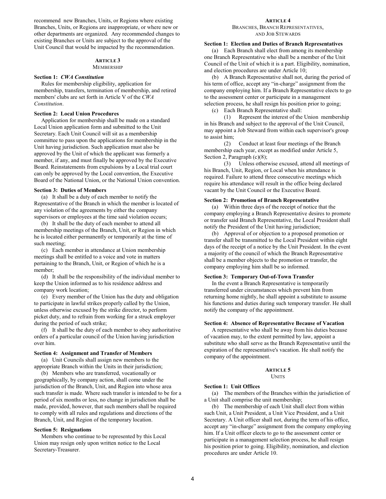recommend new Branches, Units, or Regions where existing Branches, Units, or Regions are inappropriate, or where new or other departments are organized. Any recommended changes to existing Branches or Units are subject to the approval of the Unit Council that would be impacted by the recommendation.

# **ARTICLE 3**

MEMBERSHIP

# **Section 1:** *CWA Constitution*

Rules for membership eligibility, application for membership, transfers, termination of membership, and retired members' clubs are set forth in Article V of the *CWA Constitution*.

# **Section 2: Local Union Procedures**

Application for membership shall be made on a standard Local Union application form and submitted to the Unit Secretary. Each Unit Council will sit as a membership committee to pass upon the applications for membership in the Unit having jurisdiction. Such application must also be approved by the Unit of which the applicant was formerly a member, if any, and must finally be approved by the Executive Board. Reinstatements from expulsions by a Local trial court can only be approved by the Local convention, the Executive Board of the National Union, or the National Union convention.

# **Section 3: Duties of Members**

(a) It shall be a duty of each member to notify the Representative of the Branch in which the member is located of any violation of the agreements by either the company supervisors or employees at the time said violation occurs;

(b) It shall be the duty of each member to attend all membership meetings of the Branch, Unit, or Region in which he is located either permanently or temporarily at the time of such meeting;

(c) Each member in attendance at Union membership meetings shall be entitled to a voice and vote in matters pertaining to the Branch, Unit, or Region of which he is a member;

(d) It shall be the responsibility of the individual member to keep the Union informed as to his residence address and company work location;

(e) Every member of the Union has the duty and obligation to participate in lawful strikes properly called by the Union, unless otherwise excused by the strike director, to perform picket duty, and to refrain from working for a struck employer during the period of such strike;

(f) It shall be the duty of each member to obey authoritative orders of a particular council of the Union having jurisdiction over him.

# **Section 4: Assignment and Transfer of Members**

(a) Unit Councils shall assign new members to the appropriate Branch within the Units in their jurisdiction;

(b) Members who are transferred, vocationally or geographically, by company action, shall come under the jurisdiction of the Branch, Unit, and Region into whose area such transfer is made. Where such transfer is intended to be for a period of six months or less, no change in jurisdiction shall be made, provided, however, that such members shall be required to comply with all rules and regulations and directions of the Branch, Unit, and Region of the temporary location.

#### **Section 5: Resignations**

Members who continue to be represented by this Local Union may resign only upon written notice to the Local Secretary-Treasurer.

#### **ARTICLE 4** BRANCHES, BRANCH REPRESENTATIVES, AND JOB STEWARDS

# **Section 1: Election and Duties of Branch Representatives**

(a) Each Branch shall elect from among its membership one Branch Representative who shall be a member of the Unit Council of the Unit of which it is a part. Eligibility, nomination, and election procedures are under Article 10;

(b) A Branch Representative shall not, during the period of his term of office, accept any "in-charge" assignment from the company employing him. If a Branch Representative elects to go to the assessment center or participate in a management selection process, he shall resign his position prior to going;

(c) Each Branch Representative shall:

(1) Represent the interest of the Union membership in his Branch and subject to the approval of the Unit Council, may appoint a Job Steward from within each supervisor's group to assist him;

(2) Conduct at least four meetings of the Branch membership each year, except as modified under Article 5, Section 2, Paragraph (c)(8);

(3) Unless otherwise excused, attend all meetings of his Branch, Unit, Region, or Local when his attendance is required. Failure to attend three consecutive meetings which require his attendance will result in the office being declared vacant by the Unit Council or the Executive Board.

# **Section 2: Promotion of Branch Representative**

(a) Within three days of the receipt of notice that the company employing a Branch Representative desires to promote or transfer said Branch Representative, the Local President shall notify the President of the Unit having jurisdiction;

(b) Approval of or objection to a proposed promotion or transfer shall be transmitted to the Local President within eight days of the receipt of a notice by the Unit President. In the event a majority of the council of which the Branch Representative shall be a member objects to the promotion or transfer, the company employing him shall be so informed.

# **Section 3: Temporary Out-of-Town Transfer**

In the event a Branch Representative is temporarily transferred under circumstances which prevent him from returning home nightly, he shall appoint a substitute to assume his functions and duties during such temporary transfer. He shall notify the company of the appointment.

#### **Section 4: Absence of Representative Because of Vacation**

A representative who shall be away from his duties because of vacation may, to the extent permitted by law, appoint a substitute who shall serve as the Branch Representative until the expiration of the representative's vacation. He shall notify the company of the appointment.

#### **ARTICLE 5 UNITS**

#### **Section 1: Unit Offices**

(a) The members of the Branches within the jurisdiction of a Unit shall comprise the unit membership;

(b) The membership of each Unit shall elect from within such Unit, a Unit President, a Unit Vice President, and a Unit Secretary. A Unit officer shall not, during the term of his office, accept any "in-charge" assignment from the company employing him. If a Unit officer elects to go to the assessment center or participate in a management selection process, he shall resign his position prior to going. Eligibility, nomination, and election procedures are under Article 10.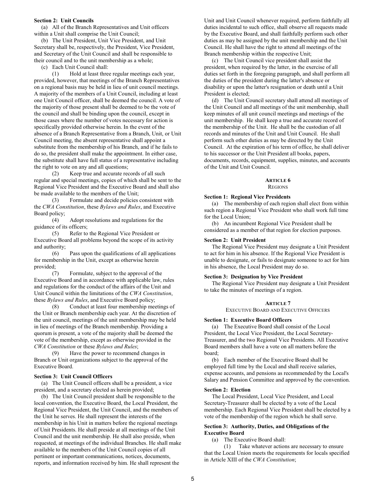# **Section 2: Unit Councils**

(a) All of the Branch Representatives and Unit officers within a Unit shall comprise the Unit Council;

(b) The Unit President, Unit Vice President, and Unit Secretary shall be, respectively, the President, Vice President, and Secretary of the Unit Council and shall be responsible to their council and to the unit membership as a whole;

(c) Each Unit Council shall:

(1) Hold at least three regular meetings each year, provided, however, that meetings of the Branch Representatives on a regional basis may be held in lieu of unit council meetings. A majority of the members of a Unit Council, including at least one Unit Council officer, shall be deemed the council. A vote of the majority of those present shall be deemed to be the vote of the council and shall be binding upon the council, except in those cases where the number of votes necessary for action is specifically provided otherwise herein. In the event of the absence of a Branch Representative from a Branch, Unit, or Unit Council meeting, the absent representative shall appoint a substitute from the membership of his Branch, and if he fails to do so, the president shall make the appointment. In either case, the substitute shall have full status of a representative including the right to vote on any and all questions;

(2) Keep true and accurate records of all such regular and special meetings, copies of which shall be sent to the Regional Vice President and the Executive Board and shall also be made available to the members of the Unit;

(3) Formulate and decide policies consistent with the *CWA Constitution*, these *Bylaws and Rules*, and Executive Board policy;

(4) Adopt resolutions and regulations for the guidance of its officers;

(5) Refer to the Regional Vice President or Executive Board all problems beyond the scope of its activity and authority;

(6) Pass upon the qualifications of all applications for membership in the Unit, except as otherwise herein provided;

(7) Formulate, subject to the approval of the Executive Board and in accordance with applicable law, rules and regulations for the conduct of the affairs of the Unit and Unit Council within the limitations of the *CWA Constitution*, these *Bylaws and Rules*, and Executive Board policy;

(8) Conduct at least four membership meetings of the Unit or Branch membership each year. At the discretion of the unit council, meetings of the unit membership may be held in lieu of meetings of the Branch membership. Providing a quorum is present, a vote of the majority shall be deemed the vote of the membership, except as otherwise provided in the *CWA Constitution* or these *Bylaws and Rules*;

(9) Have the power to recommend changes in Branch or Unit organizations subject to the approval of the Executive Board.

# **Section 3: Unit Council Officers**

(a) The Unit Council officers shall be a president, a vice president, and a secretary elected as herein provided;

(b) The Unit Council president shall be responsible to the local convention, the Executive Board, the Local President, the Regional Vice President, the Unit Council, and the members of the Unit he serves. He shall represent the interests of the membership in his Unit in matters before the regional meetings of Unit Presidents. He shall preside at all meetings of the Unit Council and the unit membership. He shall also preside, when requested, at meetings of the individual Branches. He shall make available to the members of the Unit Council copies of all pertinent or important communications, notices, documents, reports, and information received by him. He shall represent the

Unit and Unit Council whenever required, perform faithfully all duties incidental to such office, shall observe all requests made by the Executive Board, and shall faithfully perform such other duties as may be assigned by the unit membership and the Unit Council. He shall have the right to attend all meetings of the Branch membership within the respective Unit;

(c) The Unit Council vice president shall assist the president, when required by the latter, in the exercise of all duties set forth in the foregoing paragraph, and shall perform all the duties of the president during the latter's absence or disability or upon the latter's resignation or death until a Unit President is elected;

(d) The Unit Council secretary shall attend all meetings of the Unit Council and all meetings of the unit membership, shall keep minutes of all unit council meetings and meetings of the unit membership. He shall keep a true and accurate record of the membership of the Unit. He shall be the custodian of all records and minutes of the Unit and Unit Council. He shall perform such other duties as may be directed by the Unit Council. At the expiration of his term of office, he shall deliver to his successor or the Unit President all books, papers, documents, records, equipment, supplies, minutes, and accounts of the Unit and Unit Council.

#### **ARTICLE 6 REGIONS**

#### **Section 1: Regional Vice Presidents**

(a) The membership of each region shall elect from within such region a Regional Vice President who shall work full time for the Local Union;

(b) An incumbent Regional Vice President shall be considered as a member of that region for election purposes.

#### **Section 2: Unit President**

The Regional Vice President may designate a Unit President to act for him in his absence. If the Regional Vice President is unable to designate, or fails to designate someone to act for him in his absence, the Local President may do so.

# **Section 3: Designation by Vice President**

The Regional Vice President may designate a Unit President to take the minutes of meetings of a region.

#### **ARTICLE 7**

EXECUTIVE BOARD AND EXECUTIVE OFFICERS

#### **Section 1: Executive Board Officers**

(a) The Executive Board shall consist of the Local President, the Local Vice President, the Local Secretary-Treasurer, and the two Regional Vice Presidents. All Executive Board members shall have a vote on all matters before the board;

(b) Each member of the Executive Board shall be employed full time by the Local and shall receive salaries, expense accounts, and pensions as recommended by the Local's Salary and Pension Committee and approved by the convention.

#### **Section 2: Election**

The Local President, Local Vice President, and Local Secretary-Treasurer shall be elected by a vote of the Local membership. Each Regional Vice President shall be elected by a vote of the membership of the region which he shall serve.

# **Section 3: Authority, Duties, and Obligations of the Executive Board**

(a) The Executive Board shall:

(1) Take whatever actions are necessary to ensure that the Local Union meets the requirements for locals specified in Article XIII of the *CWA Constitution*;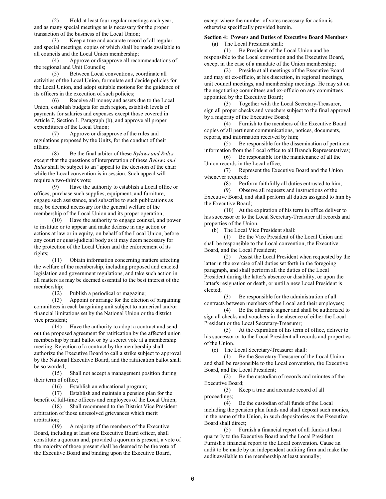(2) Hold at least four regular meetings each year, and as many special meetings as is necessary for the proper transaction of the business of the Local Union;

(3) Keep a true and accurate record of all regular and special meetings, copies of which shall be made available to all councils and the Local Union membership;

(4) Approve or disapprove all recommendations of the regional and Unit Councils;

(5) Between Local conventions, coordinate all activities of the Local Union, formulate and decide policies for the Local Union, and adopt suitable motions for the guidance of its officers in the execution of such policies;

(6) Receive all money and assets due to the Local Union, establish budgets for each region, establish levels of payments for salaries and expenses except those covered in Article 7, Section 1, Paragraph (b), and approve all proper expenditures of the Local Union;

(7) Approve or disapprove of the rules and regulations proposed by the Units, for the conduct of their affairs;

(8) Be the final arbiter of these *Bylaws and Rules* except that the questions of interpretation of these *Bylaws and Rules* shall be subject to an "appeal to the decision of the chair" while the Local convention is in session. Such appeal will require a two-thirds vote;

(9) Have the authority to establish a Local office or offices, purchase such supplies, equipment, and furniture, engage such assistance, and subscribe to such publications as may be deemed necessary for the general welfare of the membership of the Local Union and its proper operation;

(10) Have the authority to engage counsel, and power to institute or to appear and make defense in any action or actions at law or in equity, on behalf of the Local Union, before any court or quasi-judicial body as it may deem necessary for the protection of the Local Union and the enforcement of its rights;

(11) Obtain information concerning matters affecting the welfare of the membership, including proposed and enacted legislation and government regulations, and take such action in all matters as may be deemed essential to the best interest of the membership;<br>(12)

Publish a periodical or magazine;

(13) Appoint or arrange for the election of bargaining committees in each bargaining unit subject to numerical and/or financial limitations set by the National Union or the district vice president;

(14) Have the authority to adopt a contract and send out the proposed agreement for ratification by the affected union membership by mail ballot or by a secret vote at a membership meeting. Rejection of a contract by the membership shall authorize the Executive Board to call a strike subject to approval by the National Executive Board, and the ratification ballot shall be so worded;

(15) Shall not accept a management position during their term of office;

(16) Establish an educational program;

(17) Establish and maintain a pension plan for the benefit of full-time officers and employees of the Local Union;

(18) Shall recommend to the District Vice President arbitration of those unresolved grievances which merit arbitration;

(19) A majority of the members of the Executive Board, including at least one Executive Board officer, shall constitute a quorum and, provided a quorum is present, a vote of the majority of those present shall be deemed to be the vote of the Executive Board and binding upon the Executive Board,

except where the number of votes necessary for action is otherwise specifically provided herein.

**Section 4: Powers and Duties of Executive Board Members** (a) The Local President shall:

(1) Be President of the Local Union and be responsible to the Local convention and the Executive Board, except in the case of a mandate of the Union membership;

(2) Preside at all meetings of the Executive Board and may sit ex-officio, at his discretion, in regional meetings, unit council meetings, and membership meetings. He may sit on the negotiating committees and ex-officio on any committees appointed by the Executive Board;

(3) Together with the Local Secretary-Treasurer, sign all proper checks and vouchers subject to the final approval by a majority of the Executive Board;<br>(4) Furnish to the member

(4) Furnish to the members of the Executive Board copies of all pertinent communications, notices, documents, reports, and information received by him;

(5) Be responsible for the dissemination of pertinent information from the Local office to all Branch Representatives;

(6) Be responsible for the maintenance of all the Union records in the Local office;

(7) Represent the Executive Board and the Union whenever required;<br>(8) Perf

(8) Perform faithfully all duties entrusted to him;<br>(9) Observe all requests and instructions of the

Observe all requests and instructions of the Executive Board, and shall perform all duties assigned to him by the Executive Board;

(10) At the expiration of his term in office deliver to his successor or to the Local Secretary-Treasurer all records and properties of the Union.

(b) The Local Vice President shall:

(1) Be the Vice President of the Local Union and shall be responsible to the Local convention, the Executive Board, and the Local President;

(2) Assist the Local President when requested by the latter in the exercise of all duties set forth in the foregoing paragraph, and shall perform all the duties of the Local President during the latter's absence or disability, or upon the latter's resignation or death, or until a new Local President is elected;

(3) Be responsible for the administration of all contracts between members of the Local and their employees;

(4) Be the alternate signer and shall be authorized to sign all checks and vouchers in the absence of either the Local President or the Local Secretary-Treasurer;

(5) At the expiration of his term of office, deliver to his successor or to the Local President all records and properties of the Union.

(c) The Local Secretary-Treasurer shall:

(1) Be the Secretary-Treasurer of the Local Union and shall be responsible to the Local convention, the Executive Board, and the Local President;

(2) Be the custodian of records and minutes of the Executive Board;

(3) Keep a true and accurate record of all proceedings;

(4) Be the custodian of all funds of the Local including the pension plan funds and shall deposit such monies, in the name of the Union, in such depositories as the Executive Board shall direct;

(5) Furnish a financial report of all funds at least quarterly to the Executive Board and the Local President. Furnish a financial report to the Local convention. Cause an audit to be made by an independent auditing firm and make the audit available to the membership at least annually;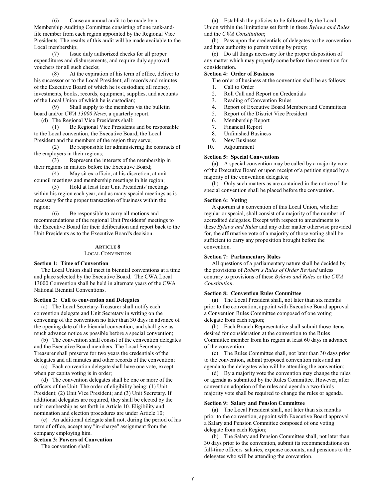(6) Cause an annual audit to be made by a Membership Auditing Committee consisting of one rank-andfile member from each region appointed by the Regional Vice Presidents. The results of this audit will be made available to the Local membership;

(7) Issue duly authorized checks for all proper expenditures and disbursements, and require duly approved vouchers for all such checks;

(8) At the expiration of his term of office, deliver to his successor or to the Local President, all records and minutes of the Executive Board of which he is custodian; all money, investments, books, records, equipment, supplies, and accounts of the Local Union of which he is custodian;

(9) Shall supply to the members via the bulletin board and/or *CWA 13000 News*, a quarterly report.

(d) The Regional Vice Presidents shall:

(1) Be Regional Vice Presidents and be responsible to the Local convention, the Executive Board, the Local President and the members of the region they serve;

(2) Be responsible for administering the contracts of the employers in their regions;

(3) Represent the interests of the membership in their regions in matters before the Executive Board;

(4) May sit ex-officio, at his discretion, at unit council meetings and membership meetings in his region;

(5) Hold at least four Unit Presidents' meetings within his region each year, and as many special meetings as is necessary for the proper transaction of business within the region;

(6) Be responsible to carry all motions and recommendations of the regional Unit Presidents' meetings to the Executive Board for their deliberation and report back to the Unit Presidents as to the Executive Board's decision.

#### **ARTICLE 8**

# LOCAL CONVENTION

# **Section 1: Time of Convention**

The Local Union shall meet in biennial conventions at a time and place selected by the Executive Board. The CWA Local 13000 Convention shall be held in alternate years of the CWA National Biennial Conventions.

#### **Section 2: Call to convention and Delegates**

(a) The Local Secretary-Treasurer shall notify each convention delegate and Unit Secretary in writing on the convening of the convention no later than 30 days in advance of the opening date of the biennial convention, and shall give as much advance notice as possible before a special convention;

(b) The convention shall consist of the convention delegates and the Executive Board members. The Local Secretary-Treasurer shall preserve for two years the credentials of the delegates and all minutes and other records of the convention;

(c) Each convention delegate shall have one vote, except when per capita voting is in order;

(d) The convention delegates shall be one or more of the officers of the Unit. The order of eligibility being: (1) Unit President; (2) Unit Vice President; and (3) Unit Secretary. If additional delegates are required, they shall be elected by the unit membership as set forth in Article 10. Eligibility and nomination and election procedures are under Article 10;

(e) An additional delegate shall not, during the period of his term of office, accept any "in-charge" assignment from the company employing him.

# **Section 3: Powers of Convention**

The convention shall:

(a) Establish the policies to be followed by the Local Union within the limitations set forth in these *Bylaws and Rules* and the *CWA Constitution*;

(b) Pass upon the credentials of delegates to the convention and have authority to permit voting by proxy;

(c) Do all things necessary for the proper disposition of any matter which may properly come before the convention for consideration.

# **Section 4: Order of Business**

The order of business at the convention shall be as follows:

- 1. Call to Order
- 2. Roll Call and Report on Credentials
- 3. Reading of Convention Rules<br>4. Report of Executive Board Me
- 4. Report of Executive Board Members and Committees<br>5. Report of the District Vice President
- 5. Report of the District Vice President
- 6. Membership Report
- 7. Financial Report
- 8. Unfinished Business
- 9. New Business
- 10. Adjournment

#### **Section 5: Special Conventions**

(a) A special convention may be called by a majority vote of the Executive Board or upon receipt of a petition signed by a majority of the convention delegates;

(b) Only such matters as are contained in the notice of the special convention shall be placed before the convention.

#### **Section 6: Voting**

A quorum at a convention of this Local Union, whether regular or special, shall consist of a majority of the number of accredited delegates. Except with respect to amendments to these *Bylaws and Rules* and any other matter otherwise provided for, the affirmative vote of a majority of those voting shall be sufficient to carry any proposition brought before the convention.

# **Section 7: Parliamentary Rules**

All questions of a parliamentary nature shall be decided by the provisions of *Robert's Rules of Order Revised* unless contrary to provisions of these *Bylaws and Rules* or the *CWA Constitution*.

#### **Section 8: Convention Rules Committee**

(a) The Local President shall, not later than six months prior to the convention, appoint with Executive Board approval a Convention Rules Committee composed of one voting delegate from each region;

(b) Each Branch Representative shall submit those items desired for consideration at the convention to the Rules Committee member from his region at least 60 days in advance of the convention;

(c) The Rules Committee shall, not later than 30 days prior to the convention, submit proposed convention rules and an agenda to the delegates who will be attending the convention;

(d) By a majority vote the convention may change the rules or agenda as submitted by the Rules Committee. However, after convention adoption of the rules and agenda a two-thirds majority vote shall be required to change the rules or agenda.

#### **Section 9: Salary and Pension Committee**

(a) The Local President shall, not later than six months prior to the convention, appoint with Executive Board approval a Salary and Pension Committee composed of one voting delegate from each Region;

(b) The Salary and Pension Committee shall, not later than 30 days prior to the convention, submit its recommendations on full-time officers' salaries, expense accounts, and pensions to the delegates who will be attending the convention.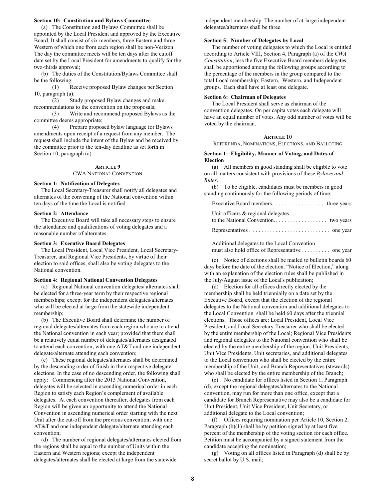# **Section 10: Constitution and Bylaws Committee**

(a) The Constitution and Bylaws Committee shall be appointed by the Local President and approved by the Executive Board. It shall consist of six members, three Eastern and three Western of which one from each region shall be non-Verizon. The day the committee meets will be ten days after the cutoff date set by the Local President for amendments to qualify for the two-thirds approval;

(b) The duties of the Constitution/Bylaws Committee shall be the following:

(1) Receive proposed Bylaw changes per Section 10, paragraph (a);

(2) Study proposed Bylaw changes and make recommendations to the convention on the proposals;

(3) Write and recommend proposed Bylaws as the committee deems appropriate;

(4) Prepare proposed bylaw language for Bylaws amendments upon receipt of a request from any member. The request shall include the intent of the Bylaw and be received by the committee prior to the ten-day deadline as set forth in Section 10, paragraph (a).

# **ARTICLE 9**

# CWA NATIONAL CONVENTION

#### **Section 1: Notification of Delegates**

The Local Secretary-Treasurer shall notify all delegates and alternates of the convening of the National convention within ten days of the time the Local is notified.

#### **Section 2: Attendance**

The Executive Board will take all necessary steps to ensure the attendance and qualifications of voting delegates and a reasonable number of alternates.

#### **Section 3: Executive Board Delegates**

The Local President, Local Vice President, Local Secretary-Treasurer, and Regional Vice Presidents, by virtue of their election to said offices, shall also be voting delegates to the National convention.

#### **Section 4: Regional National Convention Delegates**

(a) Regional National convention delegates/ alternates shall be elected for a three-year term by their respective regional memberships; except for the independent delegates/alternates who will be elected at large from the statewide independent membership;

(b) The Executive Board shall determine the number of regional delegates/alternates from each region who are to attend the National convention in each year; provided that there shall be a relatively equal number of delegates/alternates designated to attend each convention; with one AT&T and one independent delegate/alternate attending each convention;

(c) These regional delegates/alternates shall be determined by the descending order of finish in their respective delegate elections. In the case of no descending order, the following shall apply: Commencing after the 2013 National Convention, delegates will be selected in ascending numerical order in each Region to satisfy each Region's complement of available delegates. At each convention thereafter, delegates from each Region will be given an opportunity to attend the National Convention in ascending numerical order starting with the next Unit after the cut-off from the previous convention; with one AT&T and one independent delegate/alternate attending each convention;

(d) The number of regional delegates/alternates elected from the regions shall be equal to the number of Units within the Eastern and Western regions; except the independent delegates/alternates shall be elected at large from the statewide

independent membership. The number of at-large independent delegates/alternates shall be three.

#### **Section 5: Number of Delegates by Local**

The number of voting delegates to which the Local is entitled according to Article VIII, Section 4, Paragraph (a) of the *CWA Constitution*, less the five Executive Board members delegates, shall be apportioned among the following groups according to the percentage of the members in the group compared to the total Local membership: Eastern, Western, and Independent groups. Each shall have at least one delegate.

#### **Section 6: Chairman of Delegates**

The Local President shall serve as chairman of the convention delegates. On per capita votes each delegate will have an equal number of votes. Any odd number of votes will be voted by the chairman.

#### **ARTICLE 10**

REFERENDA, NOMINATIONS, ELECTIONS, AND BALLOTING

#### **Section 1: Eligibility, Manner of Voting, and Dates of Election**

(a) All members in good standing shall be eligible to vote on all matters consistent with provisions of these *Bylaws and Rules*.

(b) To be eligible, candidates must be members in good standing continuously for the following periods of time:

| Unit officers $\&$ regional delegates |  |
|---------------------------------------|--|
|                                       |  |

|--|--|--|--|--|--|--|--|--|--|--|--|--|--|--|--|--|--|--|--|--|--|--|--|--|--|--|--|--|

Additional delegates to the Local Convention must also hold office of Representative . . . . . . . . . . one year

(c) Notice of elections shall be mailed to bulletin boards 60 days before the date of the election. "Notice of Election," along with an explanation of the election rules shall be published in the July/August issue of the Local's publication;

(d) Election for all offices directly elected by the membership shall be held triennially on a date set by the Executive Board, except that the election of the regional delegates to the National convention and additional delegates to the Local Convention shall be held 60 days after the triennial elections. Those offices are: Local President, Local Vice President, and Local Secretary-Treasurer who shall be elected by the entire membership of the Local; Regional Vice Presidents and regional delegates to the National convention who shall be elected by the entire membership of the region; Unit Presidents, Unit Vice Presidents, Unit secretaries, and additional delegates to the Local convention who shall be elected by the entire membership of the Unit; and Branch Representatives (stewards) who shall be elected by the entire membership of the Branch;

(e) No candidate for offices listed in Section 1, Paragraph (d), except the regional delegates/alternates to the National convention, may run for more than one office, except that a candidate for Branch Representative may also be a candidate for Unit President, Unit Vice President, Unit Secretary, or additional delegate to the Local convention;

(f) Offices requiring nomination per Article 10, Section 2, Paragraph (b)(1) shall be by petition signed by at least five percent of the membership of the voting section for each office. Petition must be accompanied by a signed statement from the candidate accepting the nomination;

(g) Voting on all offices listed in Paragraph (d) shall be by secret ballot by U.S. mail;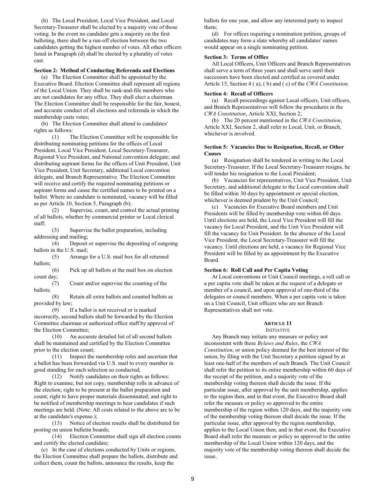(h) The Local President, Local Vice President, and Local Secretary-Treasurer shall be elected by a majority vote of those voting. In the event no candidate gets a majority on the first balloting, there shall be a run-off election between the two candidates getting the highest number of votes. All other officers listed in Paragraph (d) shall be elected by a plurality of votes cast.

# **Section 2: Method of Conducting Referenda and Elections**

(a) The Election Committee shall be appointed by the Executive Board. Election Committee shall represent all regions of the Local Union. They shall be rank-and-file members who are not candidates for any office. They shall elect a chairman. The Election Committee shall be responsible for the fair, honest, and accurate conduct of all elections and referenda in which the membership casts votes;

(b) The Election Committee shall attend to candidates' rights as follows:

(1) The Election Committee will be responsible for distributing nominating petitions for the offices of Local President, Local Vice President, Local Secretary-Treasurer, Regional Vice President, and National convention delegate; and distributing aspirant forms for the offices of Unit President, Unit Vice President, Unit Secretary, additional Local convention delegate, and Branch Representative. The Election Committee will receive and certify the required nominating petitions or aspirant forms and cause the certified names to be printed on a ballot. Where no candidate is nominated, vacancy will be filled as per Article 10, Section 5, Paragraph (b);

(2) Supervise, count, and control the actual printing of all ballots, whether by commercial printer or Local clerical staff;

(3) Supervise the ballot preparation, including addressing and mailing;

(4) Deposit or supervise the depositing of outgoing ballots in the U.S. mail;

(5) Arrange for a U.S. mail box for all returned ballots;

(6) Pick up all ballots at the mail box on election count day;

(7) Count and/or supervise the counting of the ballots;

(8) Retain all extra ballots and counted ballots as provided by law;

(9) If a ballot is not received or is marked incorrectly, second ballots shall be forwarded by the Election Committee chairman or authorized office staff by approval of the Election Committee;

(10) An accurate detailed list of all second ballots shall be maintained and certified by the Election Committee prior to the election count;

(11) Inspect the membership roles and ascertain that a ballot has been forwarded via U.S. mail to every member in good standing for each selection so conducted;

(12) Notify candidates on their rights as follows: Right to examine, but not copy, membership rolls in advance of the election; right to be present at the ballot preparation and count; right to have proper materials disseminated; and right to be notified of membership meetings to hear candidates if such meetings are held. (Note: All costs related to the above are to be at the candidate's expense.);

(13) Notice of election results shall be distributed for posting on union bulletin boards;

(14) Election Committee shall sign all election counts and certify the elected candidate;

(c) In the case of elections conducted by Units or regions, the Election Committee shall prepare the ballots, distribute and collect them, count the ballots, announce the results, keep the

ballots for one year, and allow any interested party to inspect them;

(d) For offices requiring a nomination petition, groups of candidates may form a slate whereby all candidates' names would appear on a single nominating petition.

# **Section 3: Terms of Office**

All Local Officers, Unit Officers and Branch Representatives shall serve a term of three years and shall serve until their successors have been elected and certified as covered under Article 15, Section 4 ( a), ( b) and ( c) of the *CWA Constitution*.

## **Section 4: Recall of Officers**

(a) Recall proceedings against Local officers, Unit officers, and Branch Representatives will follow the procedures in the *CWA Constitution*, Article XXI, Section 2;

(b) The 20 percent mentioned in the *CWA Constitution*, Article XXI, Section 2, shall refer to Local, Unit, or Branch, whichever is involved.

# **Section 5: Vacancies Due to Resignation, Recall, or Other Causes**

(a) Resignation shall be tendered in writing to the Local Secretary-Treasurer. If the Local Secretary-Treasurer resigns, he will tender his resignation to the Local President;

(b) Vacancies for representatives, Unit Vice President, Unit Secretary, and additional delegate to the Local convention shall be filled within 30 days by appointment or special election, whichever is deemed prudent by the Unit Council;

(c) Vacancies for Executive Board members and Unit Presidents will be filled by membership vote within 60 days. Until elections are held, the Local Vice President will fill the vacancy for Local President, and the Unit Vice President will fill the vacancy for Unit President. In the absence of the Local Vice President, the Local Secretary-Treasurer will fill the vacancy. Until elections are held, a vacancy for Regional Vice President will be filled by an appointment by the Executive Board.

# **Section 6: Roll Call and Per Capita Voting**

At Local conventions or Unit Council meetings, a roll call or a per capita vote shall be taken at the request of a delegate or member of a council, and upon approval of one-third of the delegates or council members. When a per capita vote is taken on a Unit Council, Unit officers who are not Branch Representatives shall not vote.

# **ARTICLE 11**

INITIATIVE

Any Branch may initiate any measure or policy not inconsistent with these *Bylaws and Rules*, the *CWA Constitution*, or union policy deemed for the best interest of the union, by filing with the Unit Secretary a petition signed by at least one-half of the members of such Branch. The Unit Council shall refer the petition to its entire membership within 60 days of the receipt of the petition, and a majority vote of the membership voting thereon shall decide the issue. If the particular issue, after approval by the unit membership, applies to the region then, and in that event, the Executive Board shall refer the measure or policy so approved to the entire membership of the region within 120 days, and the majority vote of the membership voting thereon shall decide the issue. If the particular issue, after approval by the region membership, applies to the Local Union then, and in that event, the Executive Board shall refer the measure or policy so approved to the entire membership of the Local Union within 120 days, and the majority vote of the membership voting thereon shall decide the issue.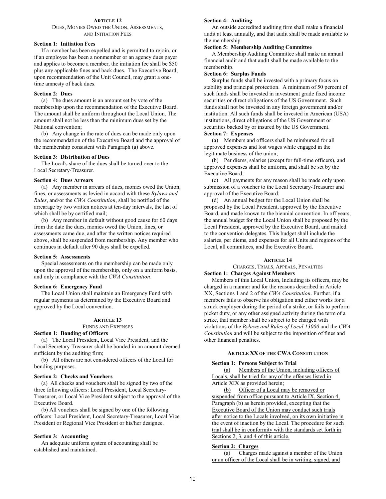# **ARTICLE 12**

# DUES, MONIES OWED THE UNION, ASSESSMENTS, AND INITIATION FEES

#### **Section 1: Initiation Fees**

If a member has been expelled and is permitted to rejoin, or if an employee has been a nonmember or an agency dues payer and applies to become a member, the initiation fee shall be \$50 plus any applicable fines and back dues. The Executive Board, upon recommendation of the Unit Council, may grant a onetime amnesty of back dues.

#### **Section 2: Dues**

(a) The dues amount is an amount set by vote of the membership upon the recommendation of the Executive Board. The amount shall be uniform throughout the Local Union. The amount shall not be less than the minimum dues set by the National convention;

(b) Any change in the rate of dues can be made only upon the recommendation of the Executive Board and the approval of the membership consistent with Paragraph (a) above.

# **Section 3: Distribution of Dues**

The Local's share of the dues shall be turned over to the Local Secretary-Treasurer.

#### **Section 4: Dues Arrears**

(a) Any member in arrears of dues, monies owed the Union, fines, or assessments as levied in accord with these *Bylaws and Rules*, and/or the *CWA Constitution*, shall be notified of the arrearage by two written notices at ten-day intervals, the last of which shall be by certified mail;

(b) Any member in default without good cause for 60 days from the date the dues, monies owed the Union, fines, or assessments came due, and after the written notices required above, shall be suspended from membership. Any member who continues in default after 90 days shall be expelled.

#### **Section 5: Assessments**

Special assessments on the membership can be made only upon the approval of the membership, only on a uniform basis, and only in compliance with the *CWA Constitution*.

# **Section 6: Emergency Fund**

The Local Union shall maintain an Emergency Fund with regular payments as determined by the Executive Board and approved by the Local convention.

#### **ARTICLE 13**

FUNDS AND EXPENSES

# **Section 1: Bonding of Officers**

(a) The Local President, Local Vice President, and the Local Secretary-Treasurer shall be bonded in an amount deemed sufficient by the auditing firm;

(b) All others are not considered officers of the Local for bonding purposes.

#### **Section 2: Checks and Vouchers**

(a) All checks and vouchers shall be signed by two of the three following officers: Local President, Local Secretary-Treasurer, or Local Vice President subject to the approval of the Executive Board.

(b) All vouchers shall be signed by one of the following officers: Local President, Local Secretary-Treasurer, Local Vice President or Regional Vice President or his/her designee.

#### **Section 3: Accounting**

An adequate uniform system of accounting shall be established and maintained.

#### **Section 4: Auditing**

An outside accredited auditing firm shall make a financial audit at least annually, and that audit shall be made available to the membership.

# **Section 5: Membership Auditing Committee**

A Membership Auditing Committee shall make an annual financial audit and that audit shall be made available to the membership.

# **Section 6: Surplus Funds**

Surplus funds shall be invested with a primary focus on stability and principal protection. A minimum of 50 percent of such funds shall be invested in investment grade fixed income securities or direct obligations of the US Government. Such funds shall not be invested in any foreign government and/or institution. All such funds shall be invested in American (USA) institutions, direct obligations of the US Government or securities backed by or insured by the US Government.

# **Section 7: Expenses**

(a) Members and officers shall be reimbursed for all approved expenses and lost wages while engaged in the legitimate business of the union;

(b) Per diems, salaries (except for full-time officers), and approved expenses shall be uniform, and shall be set by the Executive Board;

(c) All payments for any reason shall be made only upon submission of a voucher to the Local Secretary-Treasurer and approval of the Executive Board;

(d) An annual budget for the Local Union shall be proposed by the Local President, approved by the Executive Board, and made known to the biennial convention. In off years, the annual budget for the Local Union shall be proposed by the Local President, approved by the Executive Board, and mailed to the convention delegates. This budget shall include the salaries, per diems, and expenses for all Units and regions of the Local, all committees, and the Executive Board.

#### **ARTICLE 14**

CHARGES, TRIALS, APPEALS, PENALTIES **Section 1: Charges Against Members**

Members of this Local Union, Including its officers, may be charged in a manner and for the reasons described in Article XX, Sections 1 and 2 of the *CWA Constitution*. Further, if a members fails to observe his obligation and either works for a struck employer during the period of a strike, or fails to perform picket duty, or any other assigned activity during the term of a strike, that member shall be subject to be charged with violations of the *Bylaws and Rules of Local 13000* and the *CWA Constitution* and will be subject to the imposition of fines and other financial penalties.

#### **ARTICLE XX OF THE CWA CONSTITUTION**

# **Section 1: Persons Subject to Trial**

(a) Members of the Union, including officers of Locals, shall be tried for any of the offenses listed in Article XIX as provided herein;

(b) Officer of a Local may be removed or suspended from office pursuant to Article IX, Section 4, Paragraph (b) as herein provided, excepting that the Executive Board of the Union may conduct such trials after notice to the Locals involved, on its own initiative in the event of inaction by the Local. The procedure for such trial shall be in conformity with the standards set forth in Sections 2, 3, and 4 of this article.

#### **Section 2: Charges**

(a) Charges made against a member of the Union or an officer of the Local shall be in writing, signed, and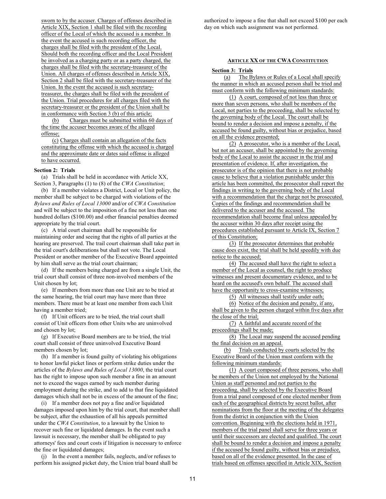sworn to by the accuser. Charges of offenses described in Article XIX, Section 1 shall be filed with the recording officer of the Local of which the accused is a member. In the event the accused is such recording officer, the charges shall be filed with the president of the Local. Should both the recording officer and the Local President be involved as a charging party or as a party charged, the charges shall be filed with the secretary-treasurer of the Union. All charges of offenses described in Article XIX, Section 2 shall be filed with the secretary-treasurer of the Union. In the event the accused is such secretarytreasurer, the charges shall be filed with the president of the Union. Trial procedures for all charges filed with the secretary-treasurer or the president of the Union shall be in conformance with Section 3 (b) of this article;

(b) Charges must be submitted within 60 days of the time the accuser becomes aware of the alleged offense;

(c) Charges shall contain an allegation of the facts constituting the offense with which the accused is charged and the approximate date or dates said offense is alleged to have occurred.

# **Section 2: Trials**

(a) Trials shall be held in accordance with Article XX, Section 3, Paragraphs (1) to (8) of the *CWA Constitution*;

(b) If a member violates a District, Local or Unit policy, the member shall be subject to be charged with violations of the *Bylaws and Rules of Local 13000* and/or of *CWA Constitution* and will be subject to the imposition of a fine not less than one hundred dollars (\$100.00) and other financial penalties deemed appropriate by the trial court.

(c) A trial court chairman shall be responsible for maintaining order and seeing that the rights of all parties at the hearing are preserved. The trail court chairman shall take part in the trial court's deliberations but shall not vote. The Local President or another member of the Executive Board appointed by him shall serve as the trial court chairman;

(d) If the members being charged are from a single Unit, the trial court shall consist of three non-involved members of the Unit chosen by lot;

(e) If members from more than one Unit are to be tried at the same hearing, the trial court may have more than three members. There must be at least one member from each Unit having a member tried;

(f) If Unit officers are to be tried, the trial court shall consist of Unit officers from other Units who are uninvolved and chosen by lot;

(g) If Executive Board members are to be tried, the trial court shall consist of three uninvolved Executive Board members chosen by lot;

(h) If a member is found guilty of violating his obligations to honor lawful picket lines or perform strike duties under the articles of the *Bylaws and Rules of Local 13000*, the trial court has the right to impose upon such member a fine in an amount not to exceed the wages earned by such member during employment during the strike, and to add to that fine liquidated damages which shall not be in excess of the amount of the fine;

(i) If a member does not pay a fine and/or liquidated damages imposed upon him by the trial court, that member shall be subject, after the exhaustion of all his appeals permitted under the *CWA Constitution*, to a lawsuit by the Union to recover such fine or liquidated damages. In the event such a lawsuit is necessary, the member shall be obligated to pay attorneys' fees and court costs if litigation is necessary to enforce the fine or liquidated damages;

(j) In the event a member fails, neglects, and/or refuses to perform his assigned picket duty, the Union trial board shall be authorized to impose a fine that shall not exceed \$100 per each day on which such assignment was not performed.

#### **ARTICLE XX OF THE CWA CONSTITUTION**

#### **Section 3: Trials**

(a) The Bylaws or Rules of a Local shall specify the manner in which an accused person shall be tried and must conform with the following minimum standards:

(1) A court, composed of not less than three or more than seven persons, who shall be members of the Local, not parties to the proceeding, shall be selected by the governing body of the Local. The court shall be bound to render a decision and impose a penalty, if the accused be found guilty, without bias or prejudice, based on all the evidence presented;

(2) A prosecutor, who is a member of the Local, but not an accuser, shall be appointed by the governing body of the Local to assist the accuser in the trial and presentation of evidence. If, after investigation, the prosecutor is of the opinion that there is not probable cause to believe that a violation punishable under this article has been committed, the prosecutor shall report the findings in writing to the governing body of the Local with a recommendation that the charge not be prosecuted. Copies of the findings and recommendation shall be delivered to the accuser and the accused. The recommendation shall become final unless appealed by the accuser within 30 days after receipt using the procedures established pursuant to Article IX, Section 7 of this Constitution;

(3) If the prosecutor determines that probable cause does exist, the trial shall be held speedily with due notice to the accused;

(4) The accused shall have the right to select a member of the Local as counsel, the right to produce witnesses and present documentary evidence, and to be heard on the accused's own behalf. The accused shall have the opportunity to cross-examine witnesses;

(5) All witnesses shall testify under oath;

(6) Notice of the decision and penalty, if any, shall be given to the person charged within five days after the close of the trial;

(7) A faithful and accurate record of the proceedings shall be made;

(8) The Local may suspend the accused pending the final decision on an appeal.

(b) Trials conducted by courts selected by the Executive Board of the Union must conform with the following minimum standards:

(1) A court composed of three persons, who shall be members of the Union not employed by the National Union as staff personnel and not parties to the proceeding, shall by selected by the Executive Board from a trial panel composed of one elected member from each of the geographical districts by secret ballot, after nominations from the floor at the meeting of the delegates from the district in conjunction with the Union convention. Beginning with the elections held in 1971, members of the trial panel shall serve for three years or until their successors are elected and qualified. The court shall be bound to render a decision and impose a penalty if the accused be found guilty, without bias or prejudice, based on all of the evidence presented. In the case of trials based on offenses specified in Article XIX, Section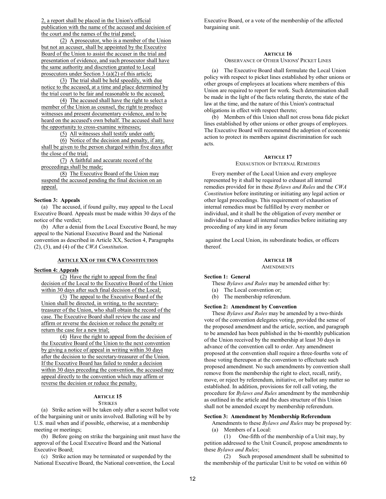2, a report shall be placed in the Union's official publication with the name of the accused and decision of the court and the names of the trial panel;

(2) A prosecutor, who is a member of the Union but not an accuser, shall be appointed by the Executive Board of the Union to assist the accuser in the trial and presentation of evidence, and such prosecutor shall have the same authority and discretion granted to Local prosecutors under Section 3 (a)(2) of this article;

(3) The trial shall be held speedily, with due notice to the accused, at a time and place determined by the trial court to be fair and reasonable to the accused;

(4) The accused shall have the right to select a member of the Union as counsel, the right to produce witnesses and present documentary evidence, and to be heard on the accused's own behalf. The accused shall have the opportunity to cross-examine witnesses;

(5) All witnesses shall testify under oath;

(6) Notice of the decision and penalty, if any, shall be given to the person charged within five days after the close of the trial;

(7) A faithful and accurate record of the proceedings shall be made;

(8) The Executive Board of the Union may suspend the accused pending the final decision on an appeal.

#### **Section 3: Appeals**

(a) The accused, if found guilty, may appeal to the Local Executive Board. Appeals must be made within 30 days of the notice of the verdict;

(b) After a denial from the Local Executive Board, he may appeal to the National Executive Board and the National convention as described in Article XX, Section 4, Paragraphs (2), (3), and (4) of the *CWA Constitution*.

# **ARTICLE XX OF THE CWA CONSTITUTION**

#### **Section 4: Appeals**

(2) Have the right to appeal from the final decision of the Local to the Executive Board of the Union within 30 days after such final decision of the Local;

(3) The appeal to the Executive Board of the Union shall be directed, in writing, to the secretarytreasurer of the Union, who shall obtain the record of the case. The Executive Board shall review the case and affirm or reverse the decision or reduce the penalty or return the case for a new trial;

(4) Have the right to appeal from the decision of the Executive Board of the Union to the next convention by giving a notice of appeal in writing within 30 days after the decision to the secretary-treasurer of the Union. If the Executive Board has failed to render a decision within 30 days preceding the convention, the accused may appeal directly to the convention which may affirm or reverse the decision or reduce the penalty.

#### **ARTICLE 15 STRIKES**

(a) Strike action will be taken only after a secret ballot vote of the bargaining unit or units involved. Balloting will be by U.S. mail when and if possible, otherwise, at a membership meeting or meetings;

(b) Before going on strike the bargaining unit must have the approval of the Local Executive Board and the National Executive Board;

(c) Strike action may be terminated or suspended by the National Executive Board, the National convention, the Local Executive Board, or a vote of the membership of the affected bargaining unit.

#### **ARTICLE 16**

# OBSERVANCE OF OTHER UNIONS' PICKET LINES

(a) The Executive Board shall formulate the Local Union policy with respect to picket lines established by other unions or other groups of employees at locations where members of this Union are required to report for work. Such determination shall be made in the light of the facts relating thereto, the state of the law at the time, and the nature of this Union's contractual obligations in effect with respect thereto;

(b) Members of this Union shall not cross bona fide picket lines established by other unions or other groups of employees. The Executive Board will recommend the adoption of economic action to protect its members against discrimination for such acts.

#### **ARTICLE 17**

# EXHAUSTION OF INTERNAL REMEDIES

Every member of the Local Union and every employee represented by it shall be required to exhaust all internal remedies provided for in these *Bylaws and Rules* and the *CWA Constitution* before instituting or initiating any legal action or other legal proceedings. This requirement of exhaustion of internal remedies must be fulfilled by every member or individual, and it shall be the obligation of every member or individual to exhaust all internal remedies before initiating any proceeding of any kind in any forum

 against the Local Union, its subordinate bodies, or officers thereof.

#### **ARTICLE 18 AMENDMENTS**

#### **Section 1: General**

These *Bylaws and Rules* may be amended either by:

- (a) The Local convention or;
- (b) The membership referendum.

# **Section 2: Amendment by Convention**

These *Bylaws and Rules* may be amended by a two-thirds vote of the convention delegates voting, provided the sense of the proposed amendment and the article, section, and paragraph to be amended has been published in the bi-monthly publication of the Union received by the membership at least 30 days in advance of the convention call to order. Any amendment proposed at the convention shall require a three-fourths vote of those voting thereupon at the convention to effectuate such proposed amendment. No such amendments by convention shall remove from the membership the right to elect, recall, ratify, move, or reject by referendum, initiative, or ballot any matter so established. In addition, provisions for roll call voting, the procedure for *Bylaws and Rules* amendment by the membership as outlined in the article and the dues structure of this Union shall not be amended except by membership referendum.

#### **Section 3: Amendment by Membership Referendum**

Amendments to these *Bylaws and Rules* may be proposed by: (a) Members of a Local:

(1) One-fifth of the membership of a Unit may, by petition addressed to the Unit Council, propose amendments to

these *Bylaws and Rules*; Such proposed amendment shall be submitted to the membership of the particular Unit to be voted on within 60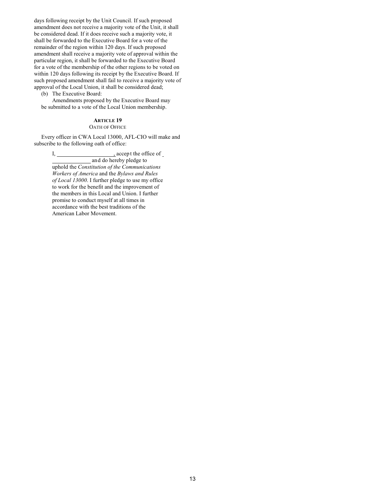days following receipt by the Unit Council. If such proposed amendment does not receive a majority vote of the Unit, it shall be considered dead. If it does receive such a majority vote, it shall be forwarded to the Executive Board for a vote of the remainder of the region within 120 days. If such proposed amendment shall receive a majority vote of approval within the particular region, it shall be forwarded to the Executive Board for a vote of the membership of the other regions to be voted on within 120 days following its receipt by the Executive Board. If such proposed amendment shall fail to receive a majority vote of approval of the Local Union, it shall be considered dead;

(b) The Executive Board:

Amendments proposed by the Executive Board may be submitted to a vote of the Local Union membership.

# **ARTICLE 19**

# OATH OF OFFICE

Every officer in CWA Local 13000, AFL-CIO will make and subscribe to the following oath of office:

> I, , accep t the office of and do hereby pledge to uphold the *Constitution of the Communications Workers of America* and the *Bylaws and Rules of Local 13000*. I further pledge to use my office to work for the benefit and the improvement of the members in this Local and Union. I further promise to conduct myself at all times in accordance with the best traditions of the American Labor Movement.